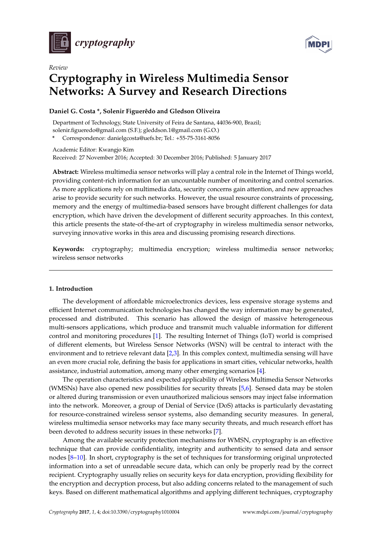

*Review*



# **Cryptography in Wireless Multimedia Sensor Networks: A Survey and Research Directions**

# **Daniel G. Costa \*, Solenir Figuerêdo and Gledson Oliveira**

Department of Technology, State University of Feira de Santana, 44036-900, Brazil; solenir.figueredo@gmail.com (S.F.); gleddson.1@gmail.com (G.O.)

**\*** Correspondence: danielgcosta@uefs.br; Tel.: +55-75-3161-8056

Academic Editor: Kwangjo Kim Received: 27 November 2016; Accepted: 30 December 2016; Published: 5 January 2017

**Abstract:** Wireless multimedia sensor networks will play a central role in the Internet of Things world, providing content-rich information for an uncountable number of monitoring and control scenarios. As more applications rely on multimedia data, security concerns gain attention, and new approaches arise to provide security for such networks. However, the usual resource constraints of processing, memory and the energy of multimedia-based sensors have brought different challenges for data encryption, which have driven the development of different security approaches. In this context, this article presents the state-of-the-art of cryptography in wireless multimedia sensor networks, surveying innovative works in this area and discussing promising research directions.

**Keywords:** cryptography; multimedia encryption; wireless multimedia sensor networks; wireless sensor networks

# **1. Introduction**

The development of affordable microelectronics devices, less expensive storage systems and efficient Internet communication technologies has changed the way information may be generated, processed and distributed. This scenario has allowed the design of massive heterogeneous multi-sensors applications, which produce and transmit much valuable information for different control and monitoring procedures [\[1\]](#page-12-0). The resulting Internet of Things (IoT) world is comprised of different elements, but Wireless Sensor Networks (WSN) will be central to interact with the environment and to retrieve relevant data [\[2](#page-12-1)[,3\]](#page-12-2). In this complex context, multimedia sensing will have an even more crucial role, defining the basis for applications in smart cities, vehicular networks, health assistance, industrial automation, among many other emerging scenarios [\[4\]](#page-12-3).

The operation characteristics and expected applicability of Wireless Multimedia Sensor Networks (WMSNs) have also opened new possibilities for security threats [\[5,](#page-12-4)[6\]](#page-13-0). Sensed data may be stolen or altered during transmission or even unauthorized malicious sensors may inject false information into the network. Moreover, a group of Denial of Service (DoS) attacks is particularly devastating for resource-constrained wireless sensor systems, also demanding security measures. In general, wireless multimedia sensor networks may face many security threats, and much research effort has been devoted to address security issues in these networks [\[7\]](#page-13-1).

Among the available security protection mechanisms for WMSN, cryptography is an effective technique that can provide confidentiality, integrity and authenticity to sensed data and sensor nodes [\[8](#page-13-2)[–10\]](#page-13-3). In short, cryptography is the set of techniques for transforming original unprotected information into a set of unreadable secure data, which can only be properly read by the correct recipient. Cryptography usually relies on security keys for data encryption, providing flexibility for the encryption and decryption process, but also adding concerns related to the management of such keys. Based on different mathematical algorithms and applying different techniques, cryptography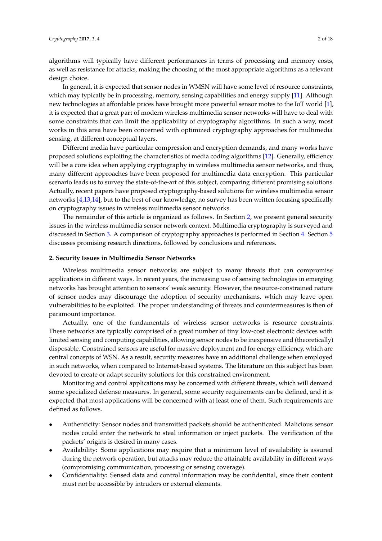algorithms will typically have different performances in terms of processing and memory costs, as well as resistance for attacks, making the choosing of the most appropriate algorithms as a relevant design choice.

In general, it is expected that sensor nodes in WMSN will have some level of resource constraints, which may typically be in processing, memory, sensing capabilities and energy supply [\[11\]](#page-13-4). Although new technologies at affordable prices have brought more powerful sensor motes to the IoT world [\[1\]](#page-12-0), it is expected that a great part of modern wireless multimedia sensor networks will have to deal with some constraints that can limit the applicability of cryptography algorithms. In such a way, most works in this area have been concerned with optimized cryptography approaches for multimedia sensing, at different conceptual layers.

Different media have particular compression and encryption demands, and many works have proposed solutions exploiting the characteristics of media coding algorithms [\[12\]](#page-13-5). Generally, efficiency will be a core idea when applying cryptography in wireless multimedia sensor networks, and thus, many different approaches have been proposed for multimedia data encryption. This particular scenario leads us to survey the state-of-the-art of this subject, comparing different promising solutions. Actually, recent papers have proposed cryptography-based solutions for wireless multimedia sensor networks [\[4](#page-12-3)[,13](#page-13-6)[,14\]](#page-13-7), but to the best of our knowledge, no survey has been written focusing specifically on cryptography issues in wireless multimedia sensor networks.

The remainder of this article is organized as follows. In Section [2,](#page-1-0) we present general security issues in the wireless multimedia sensor network context. Multimedia cryptography is surveyed and discussed in Section [3.](#page-4-0) A comparison of cryptography approaches is performed in Section [4.](#page-8-0) Section [5](#page-11-0) discusses promising research directions, followed by conclusions and references.

#### <span id="page-1-0"></span>**2. Security Issues in Multimedia Sensor Networks**

Wireless multimedia sensor networks are subject to many threats that can compromise applications in different ways. In recent years, the increasing use of sensing technologies in emerging networks has brought attention to sensors' weak security. However, the resource-constrained nature of sensor nodes may discourage the adoption of security mechanisms, which may leave open vulnerabilities to be exploited. The proper understanding of threats and countermeasures is then of paramount importance.

Actually, one of the fundamentals of wireless sensor networks is resource constraints. These networks are typically comprised of a great number of tiny low-cost electronic devices with limited sensing and computing capabilities, allowing sensor nodes to be inexpensive and (theoretically) disposable. Constrained sensors are useful for massive deployment and for energy efficiency, which are central concepts of WSN. As a result, security measures have an additional challenge when employed in such networks, when compared to Internet-based systems. The literature on this subject has been devoted to create or adapt security solutions for this constrained environment.

Monitoring and control applications may be concerned with different threats, which will demand some specialized defense measures. In general, some security requirements can be defined, and it is expected that most applications will be concerned with at least one of them. Such requirements are defined as follows.

- Authenticity: Sensor nodes and transmitted packets should be authenticated. Malicious sensor nodes could enter the network to steal information or inject packets. The verification of the packets' origins is desired in many cases.
- Availability: Some applications may require that a minimum level of availability is assured during the network operation, but attacks may reduce the attainable availability in different ways (compromising communication, processing or sensing coverage).
- Confidentiality: Sensed data and control information may be confidential, since their content must not be accessible by intruders or external elements.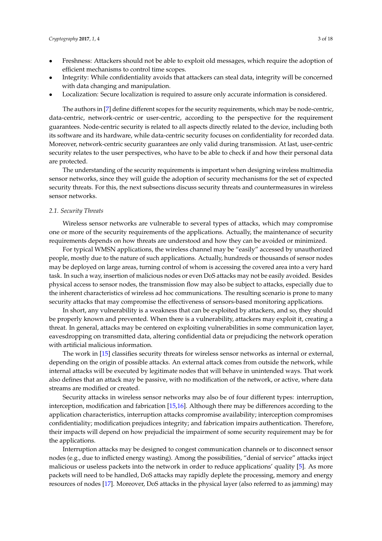- Freshness: Attackers should not be able to exploit old messages, which require the adoption of efficient mechanisms to control time scopes.
- Integrity: While confidentiality avoids that attackers can steal data, integrity will be concerned with data changing and manipulation.
- Localization: Secure localization is required to assure only accurate information is considered.

The authors in [\[7\]](#page-13-1) define different scopes for the security requirements, which may be node-centric, data-centric, network-centric or user-centric, according to the perspective for the requirement guarantees. Node-centric security is related to all aspects directly related to the device, including both its software and its hardware, while data-centric security focuses on confidentiality for recorded data. Moreover, network-centric security guarantees are only valid during transmission. At last, user-centric security relates to the user perspectives, who have to be able to check if and how their personal data are protected.

The understanding of the security requirements is important when designing wireless multimedia sensor networks, since they will guide the adoption of security mechanisms for the set of expected security threats. For this, the next subsections discuss security threats and countermeasures in wireless sensor networks.

#### *2.1. Security Threats*

Wireless sensor networks are vulnerable to several types of attacks, which may compromise one or more of the security requirements of the applications. Actually, the maintenance of security requirements depends on how threats are understood and how they can be avoided or minimized.

For typical WMSN applications, the wireless channel may be "easily" accessed by unauthorized people, mostly due to the nature of such applications. Actually, hundreds or thousands of sensor nodes may be deployed on large areas, turning control of whom is accessing the covered area into a very hard task. In such a way, insertion of malicious nodes or even DoS attacks may not be easily avoided. Besides physical access to sensor nodes, the transmission flow may also be subject to attacks, especially due to the inherent characteristics of wireless ad hoc communications. The resulting scenario is prone to many security attacks that may compromise the effectiveness of sensors-based monitoring applications.

In short, any vulnerability is a weakness that can be exploited by attackers, and so, they should be properly known and prevented. When there is a vulnerability, attackers may exploit it, creating a threat. In general, attacks may be centered on exploiting vulnerabilities in some communication layer, eavesdropping on transmitted data, altering confidential data or prejudicing the network operation with artificial malicious information.

The work in [\[15\]](#page-13-8) classifies security threats for wireless sensor networks as internal or external, depending on the origin of possible attacks. An external attack comes from outside the network, while internal attacks will be executed by legitimate nodes that will behave in unintended ways. That work also defines that an attack may be passive, with no modification of the network, or active, where data streams are modified or created.

Security attacks in wireless sensor networks may also be of four different types: interruption, interception, modification and fabrication [\[15](#page-13-8)[,16\]](#page-13-9). Although there may be differences according to the application characteristics, interruption attacks compromise availability; interception compromises confidentiality; modification prejudices integrity; and fabrication impairs authentication. Therefore, their impacts will depend on how prejudicial the impairment of some security requirement may be for the applications.

Interruption attacks may be designed to congest communication channels or to disconnect sensor nodes (e.g., due to inflicted energy wasting). Among the possibilities, "denial of service" attacks inject malicious or useless packets into the network in order to reduce applications' quality [\[5\]](#page-12-4). As more packets will need to be handled, DoS attacks may rapidly deplete the processing, memory and energy resources of nodes [\[17\]](#page-13-10). Moreover, DoS attacks in the physical layer (also referred to as jamming) may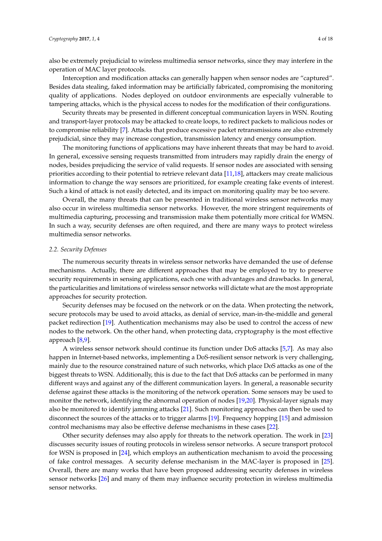also be extremely prejudicial to wireless multimedia sensor networks, since they may interfere in the operation of MAC layer protocols.

Interception and modification attacks can generally happen when sensor nodes are "captured". Besides data stealing, faked information may be artificially fabricated, compromising the monitoring quality of applications. Nodes deployed on outdoor environments are especially vulnerable to tampering attacks, which is the physical access to nodes for the modification of their configurations.

Security threats may be presented in different conceptual communication layers in WSN. Routing and transport-layer protocols may be attacked to create loops, to redirect packets to malicious nodes or to compromise reliability [\[7\]](#page-13-1). Attacks that produce excessive packet retransmissions are also extremely prejudicial, since they may increase congestion, transmission latency and energy consumption.

The monitoring functions of applications may have inherent threats that may be hard to avoid. In general, excessive sensing requests transmitted from intruders may rapidly drain the energy of nodes, besides prejudicing the service of valid requests. If sensor nodes are associated with sensing priorities according to their potential to retrieve relevant data [\[11](#page-13-4)[,18\]](#page-13-11), attackers may create malicious information to change the way sensors are prioritized, for example creating fake events of interest. Such a kind of attack is not easily detected, and its impact on monitoring quality may be too severe.

Overall, the many threats that can be presented in traditional wireless sensor networks may also occur in wireless multimedia sensor networks. However, the more stringent requirements of multimedia capturing, processing and transmission make them potentially more critical for WMSN. In such a way, security defenses are often required, and there are many ways to protect wireless multimedia sensor networks.

# *2.2. Security Defenses*

The numerous security threats in wireless sensor networks have demanded the use of defense mechanisms. Actually, there are different approaches that may be employed to try to preserve security requirements in sensing applications, each one with advantages and drawbacks. In general, the particularities and limitations of wireless sensor networks will dictate what are the most appropriate approaches for security protection.

Security defenses may be focused on the network or on the data. When protecting the network, secure protocols may be used to avoid attacks, as denial of service, man-in-the-middle and general packet redirection [\[19\]](#page-13-12). Authentication mechanisms may also be used to control the access of new nodes to the network. On the other hand, when protecting data, cryptography is the most effective approach [\[8,](#page-13-2)[9\]](#page-13-13).

A wireless sensor network should continue its function under DoS attacks [\[5,](#page-12-4)[7\]](#page-13-1). As may also happen in Internet-based networks, implementing a DoS-resilient sensor network is very challenging, mainly due to the resource constrained nature of such networks, which place DoS attacks as one of the biggest threats to WSN. Additionally, this is due to the fact that DoS attacks can be performed in many different ways and against any of the different communication layers. In general, a reasonable security defense against these attacks is the monitoring of the network operation. Some sensors may be used to monitor the network, identifying the abnormal operation of nodes [\[19,](#page-13-12)[20\]](#page-13-14). Physical-layer signals may also be monitored to identify jamming attacks [\[21\]](#page-13-15). Such monitoring approaches can then be used to disconnect the sources of the attacks or to trigger alarms [\[19\]](#page-13-12). Frequency hopping [\[15\]](#page-13-8) and admission control mechanisms may also be effective defense mechanisms in these cases [\[22\]](#page-13-16).

Other security defenses may also apply for threats to the network operation. The work in [\[23\]](#page-13-17) discusses security issues of routing protocols in wireless sensor networks. A secure transport protocol for WSN is proposed in [\[24\]](#page-13-18), which employs an authentication mechanism to avoid the processing of fake control messages. A security defense mechanism in the MAC-layer is proposed in [\[25\]](#page-13-19). Overall, there are many works that have been proposed addressing security defenses in wireless sensor networks [\[26\]](#page-13-20) and many of them may influence security protection in wireless multimedia sensor networks.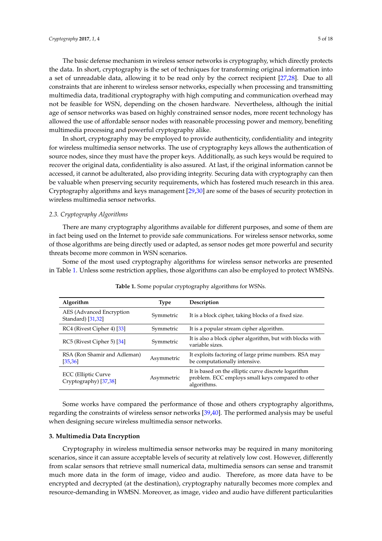The basic defense mechanism in wireless sensor networks is cryptography, which directly protects the data. In short, cryptography is the set of techniques for transforming original information into a set of unreadable data, allowing it to be read only by the correct recipient [\[27,](#page-13-21)[28\]](#page-14-0). Due to all constraints that are inherent to wireless sensor networks, especially when processing and transmitting multimedia data, traditional cryptography with high computing and communication overhead may not be feasible for WSN, depending on the chosen hardware. Nevertheless, although the initial age of sensor networks was based on highly constrained sensor nodes, more recent technology has allowed the use of affordable sensor nodes with reasonable processing power and memory, benefiting multimedia processing and powerful cryptography alike.

In short, cryptography may be employed to provide authenticity, confidentiality and integrity for wireless multimedia sensor networks. The use of cryptography keys allows the authentication of source nodes, since they must have the proper keys. Additionally, as such keys would be required to recover the original data, confidentiality is also assured. At last, if the original information cannot be accessed, it cannot be adulterated, also providing integrity. Securing data with cryptography can then be valuable when preserving security requirements, which has fostered much research in this area. Cryptography algorithms and keys management [\[29,](#page-14-1)[30\]](#page-14-2) are some of the bases of security protection in wireless multimedia sensor networks.

# *2.3. Cryptography Algorithms*

There are many cryptography algorithms available for different purposes, and some of them are in fact being used on the Internet to provide safe communications. For wireless sensor networks, some of those algorithms are being directly used or adapted, as sensor nodes get more powerful and security threats become more common in WSN scenarios.

<span id="page-4-1"></span>Some of the most used cryptography algorithms for wireless sensor networks are presented in Table [1.](#page-4-1) Unless some restriction applies, those algorithms can also be employed to protect WMSNs.

| Algorithm                                     | <b>Type</b> | Description                                                                                                              |  |  |
|-----------------------------------------------|-------------|--------------------------------------------------------------------------------------------------------------------------|--|--|
| AES (Advanced Encryption<br>Standard) [31,32] | Symmetric   | It is a block cipher, taking blocks of a fixed size.                                                                     |  |  |
| RC4 (Rivest Cipher 4) [33]                    | Symmetric   | It is a popular stream cipher algorithm.                                                                                 |  |  |
| RC5 (Rivest Cipher 5) [34]                    | Symmetric   | It is also a block cipher algorithm, but with blocks with<br>variable sizes.                                             |  |  |
| RSA (Ron Shamir and Adleman)<br>[35, 36]      | Asymmetric  | It exploits factoring of large prime numbers. RSA may<br>be computationally intensive.                                   |  |  |
| ECC (Elliptic Curve<br>Cryptography) [37,38]  | Asymmetric  | It is based on the elliptic curve discrete logarithm<br>problem. ECC employs small keys compared to other<br>algorithms. |  |  |

**Table 1.** Some popular cryptography algorithms for WSNs.

Some works have compared the performance of those and others cryptography algorithms, regarding the constraints of wireless sensor networks [\[39](#page-14-11)[,40\]](#page-14-12). The performed analysis may be useful when designing secure wireless multimedia sensor networks.

#### <span id="page-4-0"></span>**3. Multimedia Data Encryption**

Cryptography in wireless multimedia sensor networks may be required in many monitoring scenarios, since it can assure acceptable levels of security at relatively low cost. However, differently from scalar sensors that retrieve small numerical data, multimedia sensors can sense and transmit much more data in the form of image, video and audio. Therefore, as more data have to be encrypted and decrypted (at the destination), cryptography naturally becomes more complex and resource-demanding in WMSN. Moreover, as image, video and audio have different particularities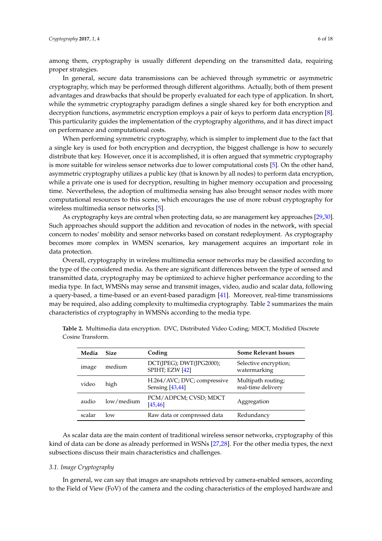among them, cryptography is usually different depending on the transmitted data, requiring proper strategies.

In general, secure data transmissions can be achieved through symmetric or asymmetric cryptography, which may be performed through different algorithms. Actually, both of them present advantages and drawbacks that should be properly evaluated for each type of application. In short, while the symmetric cryptography paradigm defines a single shared key for both encryption and decryption functions, asymmetric encryption employs a pair of keys to perform data encryption [\[8\]](#page-13-2). This particularity guides the implementation of the cryptography algorithms, and it has direct impact on performance and computational costs.

When performing symmetric cryptography, which is simpler to implement due to the fact that a single key is used for both encryption and decryption, the biggest challenge is how to securely distribute that key. However, once it is accomplished, it is often argued that symmetric cryptography is more suitable for wireless sensor networks due to lower computational costs [\[5\]](#page-12-4). On the other hand, asymmetric cryptography utilizes a public key (that is known by all nodes) to perform data encryption, while a private one is used for decryption, resulting in higher memory occupation and processing time. Nevertheless, the adoption of multimedia sensing has also brought sensor nodes with more computational resources to this scene, which encourages the use of more robust cryptography for wireless multimedia sensor networks [\[5\]](#page-12-4).

As cryptography keys are central when protecting data, so are management key approaches [\[29,](#page-14-1)[30\]](#page-14-2). Such approaches should support the addition and revocation of nodes in the network, with special concern to nodes' mobility and sensor networks based on constant redeployment. As cryptography becomes more complex in WMSN scenarios, key management acquires an important role in data protection.

Overall, cryptography in wireless multimedia sensor networks may be classified according to the type of the considered media. As there are significant differences between the type of sensed and transmitted data, cryptography may be optimized to achieve higher performance according to the media type. In fact, WMSNs may sense and transmit images, video, audio and scalar data, following a query-based, a time-based or an event-based paradigm [\[41\]](#page-14-13). Moreover, real-time transmissions may be required, also adding complexity to multimedia cryptography. Table [2](#page-5-0) summarizes the main characteristics of cryptography in WMSNs according to the media type.

| Media  | <b>Size</b> | Coding                                           | <b>Some Relevant Issues</b>              |
|--------|-------------|--------------------------------------------------|------------------------------------------|
| image  | medium      | DCT(JPEG); DWT(JPG2000);<br>SPIHT; EZW [42]      | Selective encryption;<br>watermarking    |
| video  | high        | H.264/AVC; DVC; compressive<br>Sensing $[43,44]$ | Multipath routing;<br>real-time delivery |
| audio  | low/medium  | PCM/ADPCM; CVSD; MDCT<br>[45, 46]                | Aggregation                              |
| scalar | low         | Raw data or compressed data                      | Redundancy                               |

<span id="page-5-0"></span>**Table 2.** Multimedia data encryption. DVC, Distributed Video Coding; MDCT, Modified Discrete Cosine Transform.

As scalar data are the main content of traditional wireless sensor networks, cryptography of this kind of data can be done as already performed in WSNs [\[27](#page-13-21)[,28\]](#page-14-0). For the other media types, the next subsections discuss their main characteristics and challenges.

# *3.1. Image Cryptography*

In general, we can say that images are snapshots retrieved by camera-enabled sensors, according to the Field of View (FoV) of the camera and the coding characteristics of the employed hardware and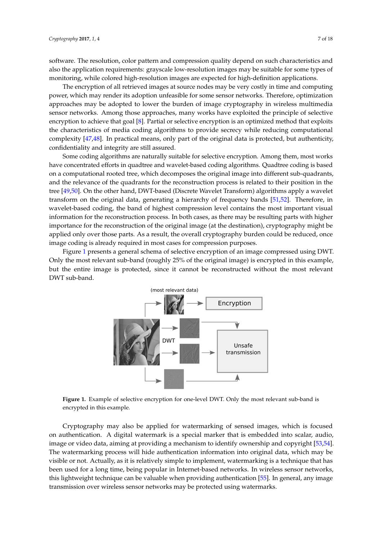software. The resolution, color pattern and compression quality depend on such characteristics and also the application requirements: grayscale low-resolution images may be suitable for some types of monitoring, while colored high-resolution images are expected for high-definition applications.

The encryption of all retrieved images at source nodes may be very costly in time and computing power, which may render its adoption unfeasible for some sensor networks. Therefore, optimization approaches may be adopted to lower the burden of image cryptography in wireless multimedia sensor networks. Among those approaches, many works have exploited the principle of selective encryption to achieve that goal [\[8\]](#page-13-2). Partial or selective encryption is an optimized method that exploits the characteristics of media coding algorithms to provide secrecy while reducing computational complexity [\[47](#page-14-19)[,48\]](#page-15-0). In practical means, only part of the original data is protected, but authenticity, confidentiality and integrity are still assured.

Some coding algorithms are naturally suitable for selective encryption. Among them, most works have concentrated efforts in quadtree and wavelet-based coding algorithms. Quadtree coding is based on a computational rooted tree, which decomposes the original image into different sub-quadrants, and the relevance of the quadrants for the reconstruction process is related to their position in the tree [\[49,](#page-15-1)[50\]](#page-15-2). On the other hand, DWT-based (Discrete Wavelet Transform) algorithms apply a wavelet transform on the original data, generating a hierarchy of frequency bands [\[51](#page-15-3)[,52\]](#page-15-4). Therefore, in wavelet-based coding, the band of highest compression level contains the most important visual information for the reconstruction process. In both cases, as there may be resulting parts with higher importance for the reconstruction of the original image (at the destination), cryptography might be applied only over those parts. As a result, the overall cryptography burden could be reduced, once image coding is already required in most cases for compression purposes.

<span id="page-6-0"></span>Figure [1](#page-6-0) presents a general schema of selective encryption of an image compressed using DWT. Only the most relevant sub-band (roughly 25% of the original image) is encrypted in this example, but the entire image is protected, since it cannot be reconstructed without the most relevant DWT sub-band.



**Figure 1.** Example of selective encryption for one-level DWT. Only the most relevant sub-band is encrypted in this example.

Cryptography may also be applied for watermarking of sensed images, which is focused on authentication. A digital watermark is a special marker that is embedded into scalar, audio, image or video data, aiming at providing a mechanism to identify ownership and copyright [\[53,](#page-15-5)[54\]](#page-15-6). The watermarking process will hide authentication information into original data, which may be visible or not. Actually, as it is relatively simple to implement, watermarking is a technique that has been used for a long time, being popular in Internet-based networks. In wireless sensor networks, this lightweight technique can be valuable when providing authentication [\[55\]](#page-15-7). In general, any image transmission over wireless sensor networks may be protected using watermarks.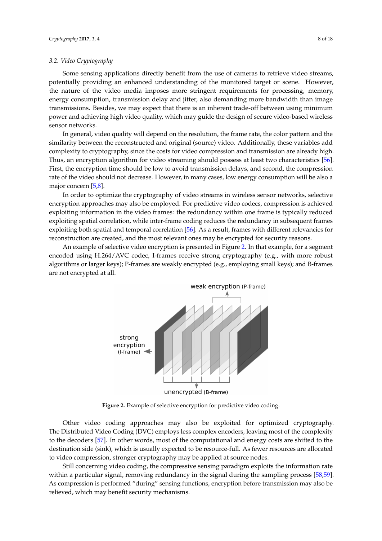# *3.2. Video Cryptography*

Some sensing applications directly benefit from the use of cameras to retrieve video streams, potentially providing an enhanced understanding of the monitored target or scene. However, the nature of the video media imposes more stringent requirements for processing, memory, energy consumption, transmission delay and jitter, also demanding more bandwidth than image transmissions. Besides, we may expect that there is an inherent trade-off between using minimum power and achieving high video quality, which may guide the design of secure video-based wireless sensor networks.

In general, video quality will depend on the resolution, the frame rate, the color pattern and the similarity between the reconstructed and original (source) video. Additionally, these variables add complexity to cryptography, since the costs for video compression and transmission are already high. Thus, an encryption algorithm for video streaming should possess at least two characteristics [\[56\]](#page-15-8). First, the encryption time should be low to avoid transmission delays, and second, the compression rate of the video should not decrease. However, in many cases, low energy consumption will be also a major concern [\[5](#page-12-4)[,8\]](#page-13-2).

In order to optimize the cryptography of video streams in wireless sensor networks, selective encryption approaches may also be employed. For predictive video codecs, compression is achieved exploiting information in the video frames: the redundancy within one frame is typically reduced exploiting spatial correlation, while inter-frame coding reduces the redundancy in subsequent frames exploiting both spatial and temporal correlation [\[56\]](#page-15-8). As a result, frames with different relevancies for reconstruction are created, and the most relevant ones may be encrypted for security reasons.

<span id="page-7-0"></span>An example of selective video encryption is presented in Figure [2.](#page-7-0) In that example, for a segment encoded using H.264/AVC codec, I-frames receive strong cryptography (e.g., with more robust algorithms or larger keys); P-frames are weakly encrypted (e.g., employing small keys); and B-frames are not encrypted at all.



**Figure 2.** Example of selective encryption for predictive video coding.

Other video coding approaches may also be exploited for optimized cryptography. The Distributed Video Coding (DVC) employs less complex encoders, leaving most of the complexity to the decoders [\[57\]](#page-15-9). In other words, most of the computational and energy costs are shifted to the destination side (sink), which is usually expected to be resource-full. As fewer resources are allocated to video compression, stronger cryptography may be applied at source nodes.

Still concerning video coding, the compressive sensing paradigm exploits the information rate within a particular signal, removing redundancy in the signal during the sampling process [\[58,](#page-15-10)[59\]](#page-15-11). As compression is performed "during" sensing functions, encryption before transmission may also be relieved, which may benefit security mechanisms.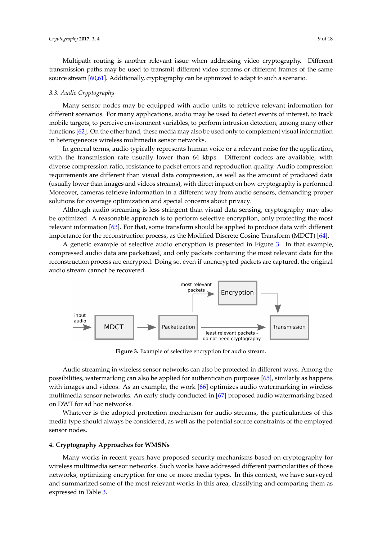Multipath routing is another relevant issue when addressing video cryptography. Different transmission paths may be used to transmit different video streams or different frames of the same source stream [\[60,](#page-15-12)[61\]](#page-15-13). Additionally, cryptography can be optimized to adapt to such a scenario.

#### *3.3. Audio Cryptography*

Many sensor nodes may be equipped with audio units to retrieve relevant information for different scenarios. For many applications, audio may be used to detect events of interest, to track mobile targets, to perceive environment variables, to perform intrusion detection, among many other functions [\[62\]](#page-15-14). On the other hand, these media may also be used only to complement visual information in heterogeneous wireless multimedia sensor networks.

In general terms, audio typically represents human voice or a relevant noise for the application, with the transmission rate usually lower than 64 kbps. Different codecs are available, with diverse compression ratio, resistance to packet errors and reproduction quality. Audio compression requirements are different than visual data compression, as well as the amount of produced data (usually lower than images and videos streams), with direct impact on how cryptography is performed. Moreover, cameras retrieve information in a different way from audio sensors, demanding proper solutions for coverage optimization and special concerns about privacy.

Although audio streaming is less stringent than visual data sensing, cryptography may also be optimized. A reasonable approach is to perform selective encryption, only protecting the most relevant information [\[63\]](#page-15-15). For that, some transform should be applied to produce data with different importance for the reconstruction process, as the Modified Discrete Cosine Transform (MDCT) [\[64\]](#page-15-16).

A generic example of selective audio encryption is presented in Figure [3.](#page-8-1) In that example, compressed audio data are packetized, and only packets containing the most relevant data for the reconstruction process are encrypted. Doing so, even if unencrypted packets are captured, the original audio stream cannot be recovered.

<span id="page-8-1"></span>

**Figure 3.** Example of selective encryption for audio stream.

Audio streaming in wireless sensor networks can also be protected in different ways. Among the possibilities, watermarking can also be applied for authentication purposes [\[65\]](#page-15-17), similarly as happens with images and videos. As an example, the work [\[66\]](#page-15-18) optimizes audio watermarking in wireless multimedia sensor networks. An early study conducted in [\[67\]](#page-15-19) proposed audio watermarking based on DWT for ad hoc networks.

Whatever is the adopted protection mechanism for audio streams, the particularities of this media type should always be considered, as well as the potential source constraints of the employed sensor nodes.

# <span id="page-8-0"></span>**4. Cryptography Approaches for WMSNs**

Many works in recent years have proposed security mechanisms based on cryptography for wireless multimedia sensor networks. Such works have addressed different particularities of those networks, optimizing encryption for one or more media types. In this context, we have surveyed and summarized some of the most relevant works in this area, classifying and comparing them as expressed in Table [3.](#page-10-0)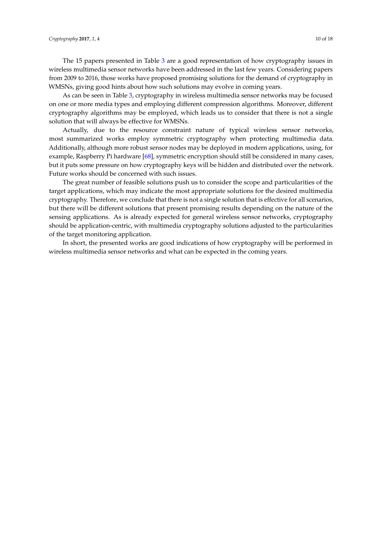The 15 papers presented in Table [3](#page-10-0) are a good representation of how cryptography issues in wireless multimedia sensor networks have been addressed in the last few years. Considering papers from 2009 to 2016, those works have proposed promising solutions for the demand of cryptography in WMSNs, giving good hints about how such solutions may evolve in coming years.

As can be seen in Table [3,](#page-10-0) cryptography in wireless multimedia sensor networks may be focused on one or more media types and employing different compression algorithms. Moreover, different cryptography algorithms may be employed, which leads us to consider that there is not a single solution that will always be effective for WMSNs.

Actually, due to the resource constraint nature of typical wireless sensor networks, most summarized works employ symmetric cryptography when protecting multimedia data. Additionally, although more robust sensor nodes may be deployed in modern applications, using, for example, Raspberry Pi hardware [\[68\]](#page-15-20), symmetric encryption should still be considered in many cases, but it puts some pressure on how cryptography keys will be hidden and distributed over the network. Future works should be concerned with such issues.

The great number of feasible solutions push us to consider the scope and particularities of the target applications, which may indicate the most appropriate solutions for the desired multimedia cryptography. Therefore, we conclude that there is not a single solution that is effective for all scenarios, but there will be different solutions that present promising results depending on the nature of the sensing applications. As is already expected for general wireless sensor networks, cryptography should be application-centric, with multimedia cryptography solutions adjusted to the particularities of the target monitoring application.

In short, the presented works are good indications of how cryptography will be performed in wireless multimedia sensor networks and what can be expected in the coming years.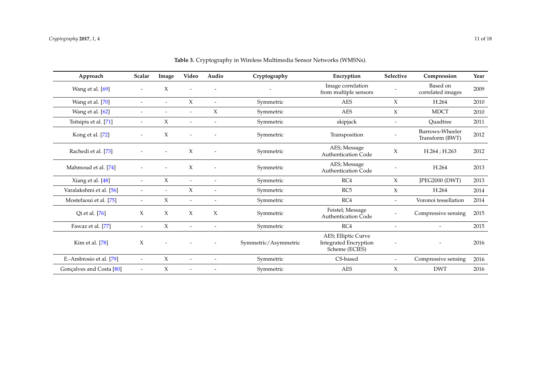<span id="page-10-0"></span>

| Approach                 | Scalar                   | Image                    | Video                    | Audio                    | Cryptography         | Encryption                                                            | Selective                | Compression                        | Year |
|--------------------------|--------------------------|--------------------------|--------------------------|--------------------------|----------------------|-----------------------------------------------------------------------|--------------------------|------------------------------------|------|
| Wang et al. [69]         | $\overline{\phantom{a}}$ | X                        |                          |                          |                      | Image correlation<br>from multiple sensors                            |                          | Based on<br>correlated images      | 2009 |
| Wang et al. [70]         | $\overline{\phantom{a}}$ | $\overline{\phantom{a}}$ | X                        | $\overline{\phantom{a}}$ | Symmetric            | <b>AES</b>                                                            | $\chi$                   | H.264                              | 2010 |
| Wang et al. [62]         | $\overline{\phantom{a}}$ |                          | $\overline{\phantom{a}}$ | X                        | Symmetric            | <b>AES</b>                                                            | $\chi$                   | <b>MDCT</b>                        | 2010 |
| Tsitsipis et al. [71]    | $\tilde{\phantom{a}}$    | X                        | $\overline{\phantom{a}}$ | $\overline{\phantom{a}}$ | Symmetric            | skipjack                                                              | $\overline{\phantom{a}}$ | Quadtree                           | 2011 |
| Kong et al. [72]         | $\overline{\phantom{a}}$ | X                        |                          |                          | Symmetric            | Transposition                                                         |                          | Burrows-Wheeler<br>Transform (BWT) | 2012 |
| Rachedi et al. [73]      |                          | $\overline{\phantom{a}}$ | X                        |                          | Symmetric            | AES; Message<br><b>Authentication Code</b>                            | X                        | H.264; H.263                       | 2012 |
| Mahmoud et al. [74]      |                          | $\overline{\phantom{a}}$ | X                        |                          | Symmetric            | AES; Message<br><b>Authentication Code</b>                            |                          | H.264                              | 2013 |
| Xiang et al. [48]        | $-$                      | X                        | $\overline{\phantom{a}}$ |                          | Symmetric            | RC4                                                                   | X                        | JPEG2000 (DWT)                     | 2013 |
| Varalakshmi et al. [56]  | $\overline{\phantom{a}}$ |                          | X                        |                          | Symmetric            | RC5                                                                   | X                        | H.264                              | 2014 |
| Mostefaoui et al. [75]   | $\overline{\phantom{a}}$ | X                        | $\overline{\phantom{a}}$ |                          | Symmetric            | RC4                                                                   |                          | Voronoi tessellation               | 2014 |
| Qi et al. [76]           | $\chi$                   | X                        | X                        | X                        | Symmetric            | Feistel; Message<br><b>Authentication Code</b>                        |                          | Compressive sensing                | 2015 |
| Fawaz et al. [77]        | $\overline{\phantom{a}}$ | X                        | $\overline{\phantom{a}}$ |                          | Symmetric            | RC4                                                                   |                          | $\overline{\phantom{a}}$           | 2015 |
| Kim et al. [78]          | X                        |                          |                          |                          | Symmetric/Asymmetric | AES; Elliptic Curve<br><b>Integrated Encryption</b><br>Scheme (ECIES) |                          |                                    | 2016 |
| E.-Ambrosio et al. [79]  | $\overline{\phantom{a}}$ | X                        | $\overline{\phantom{a}}$ | $\overline{\phantom{a}}$ | Symmetric            | CS-based                                                              |                          | Compressive sensing                | 2016 |
| Gonçalves and Costa [80] | $\overline{\phantom{a}}$ | X                        |                          |                          | Symmetric            | $\mathbf{AES}\xspace$                                                 | $\chi$                   | <b>DWT</b>                         | 2016 |

**Table 3.** Cryptography in Wireless Multimedia Sensor Networks (WMSNs).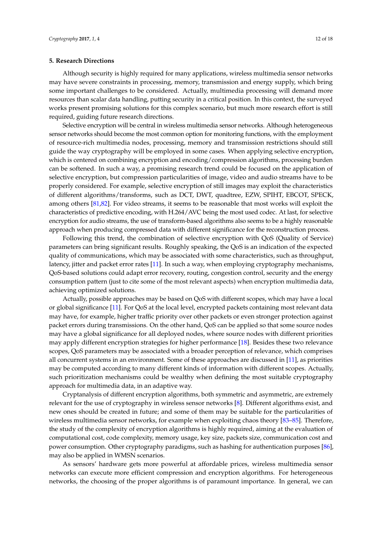## <span id="page-11-0"></span>**5. Research Directions**

Although security is highly required for many applications, wireless multimedia sensor networks may have severe constraints in processing, memory, transmission and energy supply, which bring some important challenges to be considered. Actually, multimedia processing will demand more resources than scalar data handling, putting security in a critical position. In this context, the surveyed works present promising solutions for this complex scenario, but much more research effort is still required, guiding future research directions.

Selective encryption will be central in wireless multimedia sensor networks. Although heterogeneous sensor networks should become the most common option for monitoring functions, with the employment of resource-rich multimedia nodes, processing, memory and transmission restrictions should still guide the way cryptography will be employed in some cases. When applying selective encryption, which is centered on combining encryption and encoding/compression algorithms, processing burden can be softened. In such a way, a promising research trend could be focused on the application of selective encryption, but compression particularities of image, video and audio streams have to be properly considered. For example, selective encryption of still images may exploit the characteristics of different algorithms/transforms, such as DCT, DWT, quadtree, EZW, SPIHT, EBCOT, SPECK, among others [\[81,](#page-16-12)[82\]](#page-16-13). For video streams, it seems to be reasonable that most works will exploit the characteristics of predictive encoding, with H.264/AVC being the most used codec. At last, for selective encryption for audio streams, the use of transform-based algorithms also seems to be a highly reasonable approach when producing compressed data with different significance for the reconstruction process.

Following this trend, the combination of selective encryption with QoS (Quality of Service) parameters can bring significant results. Roughly speaking, the QoS is an indication of the expected quality of communications, which may be associated with some characteristics, such as throughput, latency, jitter and packet error rates [\[11\]](#page-13-4). In such a way, when employing cryptography mechanisms, QoS-based solutions could adapt error recovery, routing, congestion control, security and the energy consumption pattern (just to cite some of the most relevant aspects) when encryption multimedia data, achieving optimized solutions.

Actually, possible approaches may be based on QoS with different scopes, which may have a local or global significance [\[11\]](#page-13-4). For QoS at the local level, encrypted packets containing most relevant data may have, for example, higher traffic priority over other packets or even stronger protection against packet errors during transmissions. On the other hand, QoS can be applied so that some source nodes may have a global significance for all deployed nodes, where source nodes with different priorities may apply different encryption strategies for higher performance [\[18\]](#page-13-11). Besides these two relevance scopes, QoS parameters may be associated with a broader perception of relevance, which comprises all concurrent systems in an environment. Some of these approaches are discussed in [\[11\]](#page-13-4), as priorities may be computed according to many different kinds of information with different scopes. Actually, such prioritization mechanisms could be wealthy when defining the most suitable cryptography approach for multimedia data, in an adaptive way.

Cryptanalysis of different encryption algorithms, both symmetric and asymmetric, are extremely relevant for the use of cryptography in wireless sensor networks [\[8\]](#page-13-2). Different algorithms exist, and new ones should be created in future; and some of them may be suitable for the particularities of wireless multimedia sensor networks, for example when exploiting chaos theory [\[83](#page-16-14)[–85\]](#page-16-15). Therefore, the study of the complexity of encryption algorithms is highly required, aiming at the evaluation of computational cost, code complexity, memory usage, key size, packets size, communication cost and power consumption. Other cryptography paradigms, such as hashing for authentication purposes [\[86\]](#page-16-16), may also be applied in WMSN scenarios.

As sensors' hardware gets more powerful at affordable prices, wireless multimedia sensor networks can execute more efficient compression and encryption algorithms. For heterogeneous networks, the choosing of the proper algorithms is of paramount importance. In general, we can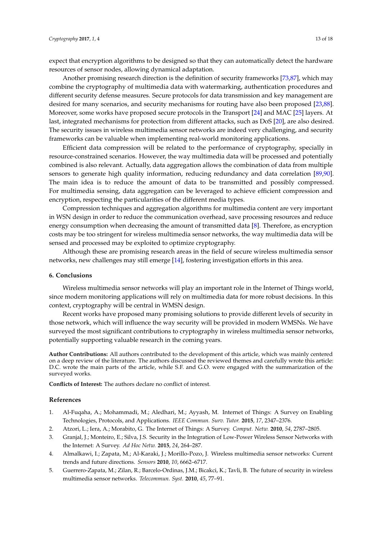expect that encryption algorithms to be designed so that they can automatically detect the hardware resources of sensor nodes, allowing dynamical adaptation.

Another promising research direction is the definition of security frameworks [\[73,](#page-16-17)[87\]](#page-16-18), which may combine the cryptography of multimedia data with watermarking, authentication procedures and different security defense measures. Secure protocols for data transmission and key management are desired for many scenarios, and security mechanisms for routing have also been proposed [\[23,](#page-13-17)[88\]](#page-16-19). Moreover, some works have proposed secure protocols in the Transport [\[24\]](#page-13-18) and MAC [\[25\]](#page-13-19) layers. At last, integrated mechanisms for protection from different attacks, such as DoS [\[20\]](#page-13-14), are also desired. The security issues in wireless multimedia sensor networks are indeed very challenging, and security frameworks can be valuable when implementing real-world monitoring applications.

Efficient data compression will be related to the performance of cryptography, specially in resource-constrained scenarios. However, the way multimedia data will be processed and potentially combined is also relevant. Actually, data aggregation allows the combination of data from multiple sensors to generate high quality information, reducing redundancy and data correlation [\[89,](#page-17-0)[90\]](#page-17-1). The main idea is to reduce the amount of data to be transmitted and possibly compressed. For multimedia sensing, data aggregation can be leveraged to achieve efficient compression and encryption, respecting the particularities of the different media types.

Compression techniques and aggregation algorithms for multimedia content are very important in WSN design in order to reduce the communication overhead, save processing resources and reduce energy consumption when decreasing the amount of transmitted data [\[8\]](#page-13-2). Therefore, as encryption costs may be too stringent for wireless multimedia sensor networks, the way multimedia data will be sensed and processed may be exploited to optimize cryptography.

Although these are promising research areas in the field of secure wireless multimedia sensor networks, new challenges may still emerge [\[14\]](#page-13-7), fostering investigation efforts in this area.

#### **6. Conclusions**

Wireless multimedia sensor networks will play an important role in the Internet of Things world, since modern monitoring applications will rely on multimedia data for more robust decisions. In this context, cryptography will be central in WMSN design.

Recent works have proposed many promising solutions to provide different levels of security in those network, which will influence the way security will be provided in modern WMSNs. We have surveyed the most significant contributions to cryptography in wireless multimedia sensor networks, potentially supporting valuable research in the coming years.

**Author Contributions:** All authors contributed to the development of this article, which was mainly centered on a deep review of the literature. The authors discussed the reviewed themes and carefully wrote this article: D.C. wrote the main parts of the article, while S.F. and G.O. were engaged with the summarization of the surveyed works.

**Conflicts of Interest:** The authors declare no conflict of interest.

#### **References**

- <span id="page-12-0"></span>1. Al-Fuqaha, A.; Mohammadi, M.; Aledhari, M.; Ayyash, M. Internet of Things: A Survey on Enabling Technologies, Protocols, and Applications. *IEEE Commun. Surv. Tutor.* **2015**, *17*, 2347–2376.
- <span id="page-12-1"></span>2. Atzori, L.; Iera, A.; Morabito, G. The Internet of Things: A Survey. *Comput. Netw.* **2010**, *54*, 2787–2805.
- <span id="page-12-2"></span>3. Granjal, J.; Monteiro, E.; Silva, J.S. Security in the Integration of Low-Power Wireless Sensor Networks with the Internet: A Survey. *Ad Hoc Netw.* **2015**, *24*, 264–287.
- <span id="page-12-3"></span>4. Almalkawi, I.; Zapata, M.; Al-Karaki, J.; Morillo-Pozo, J. Wireless multimedia sensor networks: Current trends and future directions. *Sensors* **2010**, *10*, 6662–6717.
- <span id="page-12-4"></span>5. Guerrero-Zapata, M.; Zilan, R.; Barcelo-Ordinas, J.M.; Bicakci, K.; Tavli, B. The future of security in wireless multimedia sensor networks. *Telecommun. Syst.* **2010**, *45*, 77–91.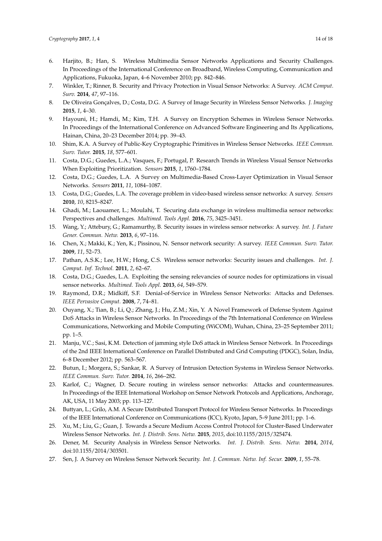- <span id="page-13-0"></span>6. Harjito, B.; Han, S. Wireless Multimedia Sensor Networks Applications and Security Challenges. In Proceedings of the International Conference on Broadband, Wireless Computing, Communication and Applications, Fukuoka, Japan, 4–6 November 2010; pp. 842–846.
- <span id="page-13-1"></span>7. Winkler, T.; Rinner, B. Security and Privacy Protection in Visual Sensor Networks: A Survey. *ACM Comput. Surv.* **2014**, *47*, 97–116.
- <span id="page-13-2"></span>8. De Oliveira Gonçalves, D.; Costa, D.G. A Survey of Image Security in Wireless Sensor Networks. *J. Imaging* **2015**, *1*, 4–30.
- <span id="page-13-13"></span>9. Hayouni, H.; Hamdi, M.; Kim, T.H. A Survey on Encryption Schemes in Wireless Sensor Networks. In Proceedings of the International Conference on Advanced Software Engineering and Its Applications, Hainan, China, 20–23 December 2014; pp. 39–43.
- <span id="page-13-3"></span>10. Shim, K.A. A Survey of Public-Key Cryptographic Primitives in Wireless Sensor Networks. *IEEE Commun. Surv. Tutor.* **2015**, *18*, 577–601.
- <span id="page-13-4"></span>11. Costa, D.G.; Guedes, L.A.; Vasques, F.; Portugal, P. Research Trends in Wireless Visual Sensor Networks When Exploiting Prioritization. *Sensors* **2015**, *1*, 1760–1784.
- <span id="page-13-5"></span>12. Costa, D.G.; Guedes, L.A. A Survey on Multimedia-Based Cross-Layer Optimization in Visual Sensor Networks. *Sensors* **2011**, *11*, 1084–1087.
- <span id="page-13-6"></span>13. Costa, D.G.; Guedes, L.A. The coverage problem in video-based wireless sensor networks: A survey. *Sensors* **2010**, *10*, 8215–8247.
- <span id="page-13-7"></span>14. Ghadi, M.; Laouamer, L.; Moulahi, T. Securing data exchange in wireless multimedia sensor networks: Perspectives and challenges. *Multimed. Tools Appl.* **2016**, *75*, 3425–3451.
- <span id="page-13-8"></span>15. Wang, Y.; Attebury, G.; Ramamurthy, B. Security issues in wireless sensor networks: A survey. *Int. J. Future Gener. Commun. Netw.* **2013**, *6*, 97–116.
- <span id="page-13-9"></span>16. Chen, X.; Makki, K.; Yen, K.; Pissinou, N. Sensor network security: A survey. *IEEE Commun. Surv. Tutor.* **2009**, *11*, 52–73.
- <span id="page-13-10"></span>17. Pathan, A.S.K.; Lee, H.W.; Hong, C.S. Wireless sensor networks: Security issues and challenges. *Int. J. Comput. Inf. Technol.* **2011**, *2*, 62–67.
- <span id="page-13-11"></span>18. Costa, D.G.; Guedes, L.A. Exploiting the sensing relevancies of source nodes for optimizations in visual sensor networks. *Multimed. Tools Appl.* **2013**, *64*, 549–579.
- <span id="page-13-12"></span>19. Raymond, D.R.; Midkiff, S.F. Denial-of-Service in Wireless Sensor Networks: Attacks and Defenses. *IEEE Pervasive Comput.* **2008**, *7*, 74–81.
- <span id="page-13-14"></span>20. Ouyang, X.; Tian, B.; Li, Q.; Zhang, J.; Hu, Z.M.; Xin, Y. A Novel Framework of Defense System Against DoS Attacks in Wireless Sensor Networks. In Proceedings of the 7th International Conference on Wireless Communications, Networking and Mobile Computing (WiCOM), Wuhan, China, 23–25 September 2011; pp. 1–5.
- <span id="page-13-15"></span>21. Manju, V.C.; Sasi, K.M. Detection of jamming style DoS attack in Wireless Sensor Network. In Proceedings of the 2nd IEEE International Conference on Parallel Distributed and Grid Computing (PDGC), Solan, India, 6–8 December 2012; pp. 563–567.
- <span id="page-13-16"></span>22. Butun, I.; Morgera, S.; Sankar, R. A Survey of Intrusion Detection Systems in Wireless Sensor Networks. *IEEE Commun. Surv. Tutor.* **2014**, *16*, 266–282.
- <span id="page-13-17"></span>23. Karlof, C.; Wagner, D. Secure routing in wireless sensor networks: Attacks and countermeasures. In Proceedings of the IEEE International Workshop on Sensor Network Protocols and Applications, Anchorage, AK, USA, 11 May 2003; pp. 113–127.
- <span id="page-13-18"></span>24. Buttyan, L.; Grilo, A.M. A Secure Distributed Transport Protocol for Wireless Sensor Networks. In Proceedings of the IEEE International Conference on Communications (ICC), Kyoto, Japan, 5–9 June 2011; pp. 1–6.
- <span id="page-13-19"></span>25. Xu, M.; Liu, G.; Guan, J. Towards a Secure Medium Access Control Protocol for Cluster-Based Underwater Wireless Sensor Networks. *Int. J. Distrib. Sens. Netw.* **2015**, *2015*, doi:10.1155/2015/325474.
- <span id="page-13-20"></span>26. Dener, M. Security Analysis in Wireless Sensor Networks. *Int. J. Distrib. Sens. Netw.* **2014**, *2014*, doi:10.1155/2014/303501.
- <span id="page-13-21"></span>27. Sen, J. A Survey on Wireless Sensor Network Security. *Int. J. Commun. Netw. Inf. Secur.* **2009**, *1*, 55–78.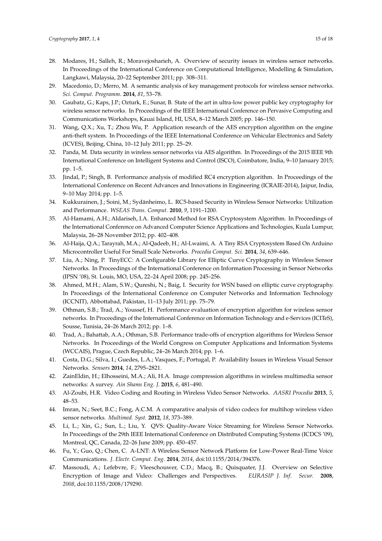- <span id="page-14-0"></span>28. Modares, H.; Salleh, R.; Moravejosharieh, A. Overview of security issues in wireless sensor networks. In Proceedings of the International Conference on Computational Intelligence, Modelling & Simulation, Langkawi, Malaysia, 20–22 September 2011; pp. 308–311.
- <span id="page-14-1"></span>29. Macedonio, D.; Merro, M. A semantic analysis of key management protocols for wireless sensor networks. *Sci. Comput. Programm.* **2014**, *81*, 53–78.
- <span id="page-14-2"></span>30. Gaubatz, G.; Kaps, J.P.; Ozturk, E.; Sunar, B. State of the art in ultra-low power public key cryptography for wireless sensor networks. In Proceedings of the IEEE International Conference on Pervasive Computing and Communications Workshops, Kauai Island, HI, USA, 8–12 March 2005; pp. 146–150.
- <span id="page-14-3"></span>31. Wang, Q.X.; Xu, T.; Zhou Wu, P. Application research of the AES encryption algorithm on the engine anti-theft system. In Proceedings of the IEEE International Conference on Vehicular Electronics and Safety (ICVES), Beijing, China, 10–12 July 2011; pp. 25–29.
- <span id="page-14-4"></span>32. Panda, M. Data security in wireless sensor networks via AES algorithm. In Proceedings of the 2015 IEEE 9th International Conference on Intelligent Systems and Control (ISCO), Coimbatore, India, 9–10 January 2015; pp. 1–5.
- <span id="page-14-5"></span>33. Jindal, P.; Singh, B. Performance analysis of modified RC4 encryption algorithm. In Proceedings of the International Conference on Recent Advances and Innovations in Engineering (ICRAIE-2014), Jaipur, India, 9–10 May 2014; pp. 1–5.
- <span id="page-14-6"></span>34. Kukkurainen, J.; Soini, M.; Sydänheimo, L. RC5-based Security in Wireless Sensor Networks: Utilization and Performance. *WSEAS Trans. Comput.* **2010**, *9*, 1191–1200.
- <span id="page-14-7"></span>35. Al-Hamami, A.H.; Aldariseh, I.A. Enhanced Method for RSA Cryptosystem Algorithm. In Proceedings of the International Conference on Advanced Computer Science Applications and Technologies, Kuala Lumpur, Malaysia, 26–28 November 2012; pp. 402–408.
- <span id="page-14-8"></span>36. Al-Haija, Q.A.; Tarayrah, M.A.; Al-Qadeeb, H.; Al-Lwaimi, A. A Tiny RSA Cryptosystem Based On Arduino Microcontroller Useful For Small Scale Networks. *Procedia Comput. Sci.* **2014**, *34*, 639–646.
- <span id="page-14-9"></span>37. Liu, A.; Ning, P. TinyECC: A Configurable Library for Elliptic Curve Cryptography in Wireless Sensor Networks. In Proceedings of the International Conference on Information Processing in Sensor Networks (IPSN '08), St. Louis, MO, USA, 22–24 April 2008; pp. 245–256.
- <span id="page-14-10"></span>38. Ahmed, M.H.; Alam, S.W.; Qureshi, N.; Baig, I. Security for WSN based on elliptic curve cryptography. In Proceedings of the International Conference on Computer Networks and Information Technology (ICCNIT), Abbottabad, Pakistan, 11–13 July 2011; pp. 75–79.
- <span id="page-14-11"></span>39. Othman, S.B.; Trad, A.; Youssef, H. Performance evaluation of encryption algorithm for wireless sensor networks. In Proceedings of the International Conference on Information Technology and e-Services (ICITeS), Sousse, Tunisia, 24–26 March 2012; pp. 1–8.
- <span id="page-14-12"></span>40. Trad, A.; Bahattab, A.A.; Othman, S.B. Performance trade-offs of encryption algorithms for Wireless Sensor Networks. In Proceedings of the World Congress on Computer Applications and Information Systems (WCCAIS), Prague, Czech Republic, 24–26 March 2014; pp. 1–6.
- <span id="page-14-13"></span>41. Costa, D.G.; Silva, I.; Guedes, L.A.; Vasques, F.; Portugal, P. Availability Issues in Wireless Visual Sensor Networks. *Sensors* **2014**, *14*, 2795–2821.
- <span id="page-14-14"></span>42. ZainEldin, H.; Elhosseini, M.A.; Ali, H.A. Image compression algorithms in wireless multimedia sensor networks: A survey. *Ain Shams Eng. J.* **2015**, *6*, 481–490.
- <span id="page-14-15"></span>43. Al-Zoubi, H.R. Video Coding and Routing in Wireless Video Sensor Networks. *AASRI Procedia* **2013**, *5*, 48–53.
- <span id="page-14-16"></span>44. Imran, N.; Seet, B.C.; Fong, A.C.M. A comparative analysis of video codecs for multihop wireless video sensor networks. *Multimed. Syst.* **2012**, *18*, 373–389.
- <span id="page-14-17"></span>45. Li, L.; Xin, G.; Sun, L.; Liu, Y. QVS: Quality-Aware Voice Streaming for Wireless Sensor Networks. In Proceedings of the 29th IEEE International Conference on Distributed Computing Systems (ICDCS '09), Montreal, QC, Canada, 22–26 June 2009; pp. 450–457.
- <span id="page-14-18"></span>46. Fu, Y.; Guo, Q.; Chen, C. A-LNT: A Wireless Sensor Network Platform for Low-Power Real-Time Voice Communications. *J. Electr. Comput. Eng.* **2014**, *2014*, doi:10.1155/2014/394376.
- <span id="page-14-19"></span>47. Massoudi, A.; Lefebvre, F.; Vleeschouwer, C.D.; Macq, B.; Quisquater, J.J. Overview on Selective Encryption of Image and Video: Challenges and Perspectives. *EURASIP J. Inf. Secur.* **2008**, *2008*, doi:10.1155/2008/179290.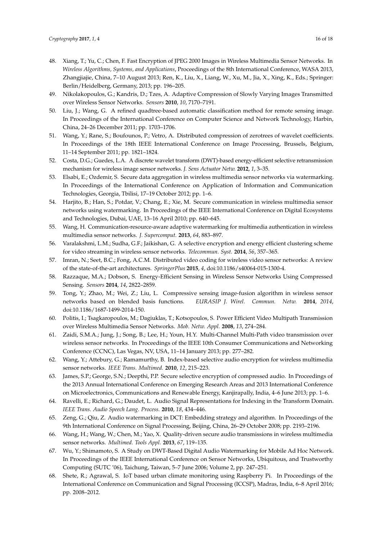- <span id="page-15-22"></span><span id="page-15-0"></span>48. Xiang, T.; Yu, C.; Chen, F. Fast Encryption of JPEG 2000 Images in Wireless Multimedia Sensor Networks. In *Wireless Algorithms, Systems, and Applications*, Proceedings of the 8th International Conference, WASA 2013, Zhangjiajie, China, 7–10 August 2013; Ren, K., Liu, X., Liang, W., Xu, M., Jia, X., Xing, K., Eds.; Springer: Berlin/Heidelberg, Germany, 2013; pp. 196–205.
- <span id="page-15-23"></span><span id="page-15-1"></span>49. Nikolakopoulos, G.; Kandris, D.; Tzes, A. Adaptive Compression of Slowly Varying Images Transmitted over Wireless Sensor Networks. *Sensors* **2010**, *10*, 7170–7191.
- <span id="page-15-2"></span>50. Liu, J.; Wang, G. A refined quadtree-based automatic classification method for remote sensing image. In Proceedings of the International Conference on Computer Science and Network Technology, Harbin, China, 24–26 December 2011; pp. 1703–1706.
- <span id="page-15-3"></span>51. Wang, Y.; Rane, S.; Boufounos, P.; Vetro, A. Distributed compression of zerotrees of wavelet coefficients. In Proceedings of the 18th IEEE International Conference on Image Processing, Brussels, Belgium, 11–14 September 2011; pp. 1821–1824.
- <span id="page-15-4"></span>52. Costa, D.G.; Guedes, L.A. A discrete wavelet transform (DWT)-based energy-efficient selective retransmission mechanism for wireless image sensor networks. *J. Sens Actuator Netw.* **2012**, *1*, 3–35.
- <span id="page-15-5"></span>53. Elsabi, E.; Ozdemir, S. Secure data aggregation in wireless multimedia sensor networks via watermarking. In Proceedings of the International Conference on Application of Information and Communication Technologies, Georgia, Tbilisi, 17–19 October 2012; pp. 1–6.
- <span id="page-15-21"></span><span id="page-15-6"></span>54. Harjito, B.; Han, S.; Potdar, V.; Chang, E.; Xie, M. Secure communication in wireless multimedia sensor networks using watermarking. In Proceedings of the IEEE International Conference on Digital Ecosystems and Technologies, Dubai, UAE, 13–16 April 2010; pp. 640–645.
- <span id="page-15-7"></span>55. Wang, H. Communication-resource-aware adaptive watermarking for multimedia authentication in wireless multimedia sensor networks. *J. Supercomput.* **2013**, *64*, 883–897.
- <span id="page-15-8"></span>56. Varalakshmi, L.M.; Sudha, G.F.; Jaikishan, G. A selective encryption and energy efficient clustering scheme for video streaming in wireless sensor networks. *Telecommun. Syst.* **2014**, *56*, 357–365.
- <span id="page-15-9"></span>57. Imran, N.; Seet, B.C.; Fong, A.C.M. Distributed video coding for wireless video sensor networks: A review of the state-of-the-art architectures. *SpringerPlus* **2015**, *4*, doi:10.1186/s40064-015-1300-4.
- <span id="page-15-10"></span>58. Razzaque, M.A.; Dobson, S. Energy-Efficient Sensing in Wireless Sensor Networks Using Compressed Sensing. *Sensors* **2014**, *14*, 2822–2859.
- <span id="page-15-11"></span>59. Tong, Y.; Zhao, M.; Wei, Z.; Liu, L. Compressive sensing image-fusion algorithm in wireless sensor networks based on blended basis functions. *EURASIP J. Wirel. Commun. Netw.* **2014**, *2014*, doi:10.1186/1687-1499-2014-150.
- <span id="page-15-12"></span>60. Politis, I.; Tsagkaropoulos, M.; Dagiuklas, T.; Kotsopoulos, S. Power Efficient Video Multipath Transmission over Wireless Multimedia Sensor Networks. *Mob. Netw. Appl.* **2008**, *13*, 274–284.
- <span id="page-15-13"></span>61. Zaidi, S.M.A.; Jung, J.; Song, B.; Lee, H.; Youn, H.Y. Multi-Channel Multi-Path video transmission over wireless sensor networks. In Proceedings of the IEEE 10th Consumer Communications and Networking Conference (CCNC), Las Vegas, NV, USA, 11–14 January 2013; pp. 277–282.
- <span id="page-15-14"></span>62. Wang, Y.; Attebury, G.; Ramamurthy, B. Index-based selective audio encryption for wireless multimedia sensor networks. *IEEE Trans. Multimed.* **2010**, *12*, 215–223.
- <span id="page-15-15"></span>63. James, S.P.; George, S.N.; Deepthi, P.P. Secure selective encryption of compressed audio. In Proceedings of the 2013 Annual International Conference on Emerging Research Areas and 2013 International Conference on Microelectronics, Communications and Renewable Energy, Kanjirapally, India, 4–6 June 2013; pp. 1–6.
- <span id="page-15-16"></span>64. Ravelli, E.; Richard, G.; Daudet, L. Audio Signal Representations for Indexing in the Transform Domain. *IEEE Trans. Audio Speech Lang. Process.* **2010**, *18*, 434–446.
- <span id="page-15-17"></span>65. Zeng, G.; Qiu, Z. Audio watermarking in DCT: Embedding strategy and algorithm. In Proceedings of the 9th International Conference on Signal Processing, Beijing, China, 26–29 October 2008; pp. 2193–2196.
- <span id="page-15-18"></span>66. Wang, H.; Wang, W.; Chen, M.; Yao, X. Quality-driven secure audio transmissions in wireless multimedia sensor networks. *Multimed. Tools Appl.* **2013**, *67*, 119–135.
- <span id="page-15-19"></span>67. Wu, Y.; Shimamoto, S. A Study on DWT-Based Digital Audio Watermarking for Mobile Ad Hoc Network. In Proceedings of the IEEE International Conference on Sensor Networks, Ubiquitous, and Trustworthy Computing (SUTC '06), Taichung, Taiwan, 5–7 June 2006; Volume 2, pp. 247–251.
- <span id="page-15-20"></span>68. Shete, R.; Agrawal, S. IoT based urban climate monitoring using Raspberry Pi. In Proceedings of the International Conference on Communication and Signal Processing (ICCSP), Madras, India, 6–8 April 2016; pp. 2008–2012.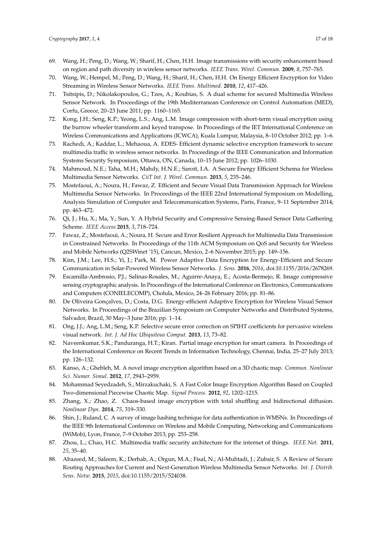- <span id="page-16-7"></span><span id="page-16-6"></span><span id="page-16-5"></span><span id="page-16-4"></span><span id="page-16-3"></span><span id="page-16-2"></span><span id="page-16-1"></span><span id="page-16-0"></span>69. Wang, H.; Peng, D.; Wang, W.; Sharif, H.; Chen, H.H. Image transmissions with security enhancement based on region and path diversity in wireless sensor networks. *IEEE Trans. Wirel. Commun.* **2009**, *8*, 757–765.
- <span id="page-16-8"></span>70. Wang, W.; Hempel, M.; Peng, D.; Wang, H.; Sharif, H.; Chen, H.H. On Energy Efficient Encryption for Video Streaming in Wireless Sensor Networks. *IEEE Trans. Multimed.* **2010**, *12*, 417–426.
- <span id="page-16-9"></span>71. Tsitsipis, D.; Nikolakopoulos, G.; Tzes, A.; Koubias, S. A dual scheme for secured Multimedia Wireless Sensor Network. In Proceedings of the 19th Mediterranean Conference on Control Automation (MED), Corfu, Greece, 20–23 June 2011; pp. 1160–1165.
- <span id="page-16-10"></span>72. Kong, J.H.; Seng, K.P.; Yeong, L.S.; Ang, L.M. Image compression with short-term visual encryption using the burrow wheeler transform and keyed transpose. In Proceedings of the IET International Conference on Wireless Communications and Applications (ICWCA), Kuala Lumpur, Malaysia, 8–10 October 2012; pp. 1–6.
- <span id="page-16-17"></span><span id="page-16-11"></span>73. Rachedi, A.; Kaddar, L.; Mehaoua, A. EDES- Efficient dynamic selective encryption framework to secure multimedia traffic in wireless sensor networks. In Proceedings of the IEEE Communication and Information Systems Security Symposium, Ottawa, ON, Canada, 10–15 June 2012; pp. 1026–1030.
- 74. Mahmoud, N.E.; Taha, M.H.; Mahdy, H.N.E.; Saroit, I.A. A Secure Energy Efficient Schema for Wireless Multimedia Sensor Networks. *CiiT Int. J. Wirel. Commun.* **2013**, *5*, 235–246.
- 75. Mostefaoui, A.; Noura, H.; Fawaz, Z. Efficient and Secure Visual Data Transmission Approach for Wireless Multimedia Sensor Networks. In Proceedings of the IEEE 22nd International Symposium on Modelling, Analysis Simulation of Computer and Telecommunication Systems, Paris, France, 9–11 September 2014; pp. 463–472.
- 76. Qi, J.; Hu, X.; Ma, Y.; Sun, Y. A Hybrid Security and Compressive Sensing-Based Sensor Data Gathering Scheme. *IEEE Access* **2015**, *3*, 718–724.
- 77. Fawaz, Z.; Mostefaoui, A.; Noura, H. Secure and Error Resilient Approach for Multimedia Data Transmission in Constrained Networks. In Proceedings of the 11th ACM Symposium on QoS and Security for Wireless and Mobile Networks (Q2SWinet '15), Cancun, Mexico, 2–6 November 2015; pp. 149–156.
- 78. Kim, J.M.; Lee, H.S.; Yi, J.; Park, M. Power Adaptive Data Encryption for Energy-Efficient and Secure Communication in Solar-Powered Wireless Sensor Networks. *J. Sens.* **2016**, *2016*, doi:10.1155/2016/2678269.
- 79. Escamilla-Ambrosio, P.J.; Salinas-Rosales, M.; Aguirre-Anaya, E.; Acosta-Bermejo, R. Image compressive sensing cryptographic analysis. In Proceedings of the International Conference on Electronics, Communications and Computers (CONIELECOMP), Cholula, Mexico, 24–26 February 2016; pp. 81–86.
- 80. De Oliveira Gonçalves, D.; Costa, D.G. Energy-efficient Adaptive Encryption for Wireless Visual Sensor Networks. In Proceedings of the Brazilian Symposium on Computer Networks and Distributed Systems, Salvador, Brazil, 30 May–3 June 2016; pp. 1–14.
- <span id="page-16-12"></span>81. Ong, J.J.; Ang, L.M.; Seng, K.P. Selective secure error correction on SPIHT coefficients for pervasive wireless visual network. *Int. J. Ad Hoc Ubiquitous Comput.* **2013**, *13*, 73–82.
- <span id="page-16-13"></span>82. Naveenkumar, S.K.; Panduranga, H.T.; Kiran. Partial image encryption for smart camera. In Proceedings of the International Conference on Recent Trends in Information Technology, Chennai, India, 25–27 July 2013; pp. 126–132.
- <span id="page-16-14"></span>83. Kanso, A.; Ghebleh, M. A novel image encryption algorithm based on a 3D chaotic map. *Commun. Nonlinear Sci. Numer. Simul.* **2012**, *17*, 2943–2959.
- 84. Mohammad Seyedzadeh, S.; Mirzakuchaki, S. A Fast Color Image Encryption Algorithm Based on Coupled Two-dimensional Piecewise Chaotic Map. *Signal Process.* **2012**, *92*, 1202–1215.
- <span id="page-16-15"></span>85. Zhang, X.; Zhao, Z. Chaos-based image encryption with total shuffling and bidirectional diffusion. *Nonlinear Dyn.* **2014**, *75*, 319–330.
- <span id="page-16-16"></span>86. Shin, J.; Ruland, C. A survey of image hashing technique for data authentication in WMSNs. In Proceedings of the IEEE 9th International Conference on Wireless and Mobile Computing, Networking and Communications (WiMob), Lyon, France, 7–9 October 2013; pp. 253–258.
- <span id="page-16-18"></span>87. Zhou, L.; Chao, H.C. Multimedia traffic security architecture for the internet of things. *IEEE Net.* **2011**, *25*, 35–40.
- <span id="page-16-19"></span>88. Abazeed, M.; Saleem, K.; Derhab, A.; Orgun, M.A.; Fisal, N.; Al-Muhtadi, J.; Zubair, S. A Review of Secure Routing Approaches for Current and Next-Generation Wireless Multimedia Sensor Networks. *Int. J. Distrib. Sens. Netw.* **2015**, *2015*, doi:10.1155/2015/524038.